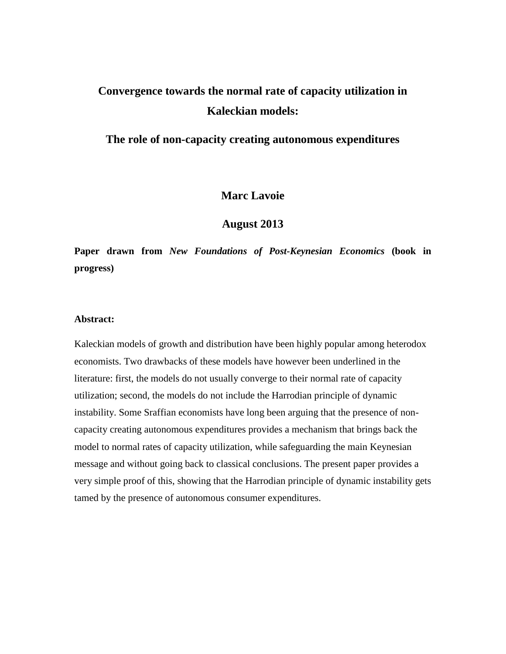## **Convergence towards the normal rate of capacity utilization in Kaleckian models:**

**The role of non-capacity creating autonomous expenditures**

## **Marc Lavoie**

## **August 2013**

**Paper drawn from** *New Foundations of Post-Keynesian Economics* **(book in progress)**

## **Abstract:**

Kaleckian models of growth and distribution have been highly popular among heterodox economists. Two drawbacks of these models have however been underlined in the literature: first, the models do not usually converge to their normal rate of capacity utilization; second, the models do not include the Harrodian principle of dynamic instability. Some Sraffian economists have long been arguing that the presence of noncapacity creating autonomous expenditures provides a mechanism that brings back the model to normal rates of capacity utilization, while safeguarding the main Keynesian message and without going back to classical conclusions. The present paper provides a very simple proof of this, showing that the Harrodian principle of dynamic instability gets tamed by the presence of autonomous consumer expenditures.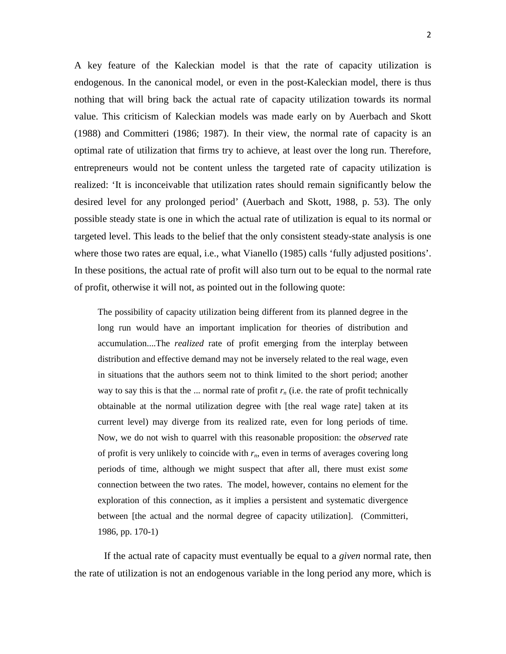A key feature of the Kaleckian model is that the rate of capacity utilization is endogenous. In the canonical model, or even in the post-Kaleckian model, there is thus nothing that will bring back the actual rate of capacity utilization towards its normal value. This criticism of Kaleckian models was made early on by Auerbach and Skott (1988) and Committeri (1986; 1987). In their view, the normal rate of capacity is an optimal rate of utilization that firms try to achieve, at least over the long run. Therefore, entrepreneurs would not be content unless the targeted rate of capacity utilization is realized: 'It is inconceivable that utilization rates should remain significantly below the desired level for any prolonged period' (Auerbach and Skott, 1988, p. 53). The only possible steady state is one in which the actual rate of utilization is equal to its normal or targeted level. This leads to the belief that the only consistent steady-state analysis is one where those two rates are equal, i.e., what Vianello (1985) calls 'fully adjusted positions'. In these positions, the actual rate of profit will also turn out to be equal to the normal rate of profit, otherwise it will not, as pointed out in the following quote:

The possibility of capacity utilization being different from its planned degree in the long run would have an important implication for theories of distribution and accumulation....The *realized* rate of profit emerging from the interplay between distribution and effective demand may not be inversely related to the real wage, even in situations that the authors seem not to think limited to the short period; another way to say this is that the  $\ldots$  normal rate of profit  $r_n$  (i.e. the rate of profit technically obtainable at the normal utilization degree with [the real wage rate] taken at its current level) may diverge from its realized rate, even for long periods of time. Now, we do not wish to quarrel with this reasonable proposition: the *observed* rate of profit is very unlikely to coincide with  $r_n$ , even in terms of averages covering long periods of time, although we might suspect that after all, there must exist *some* connection between the two rates. The model, however, contains no element for the exploration of this connection, as it implies a persistent and systematic divergence between [the actual and the normal degree of capacity utilization]. (Committeri, 1986, pp. 170-1)

If the actual rate of capacity must eventually be equal to a *given* normal rate, then the rate of utilization is not an endogenous variable in the long period any more, which is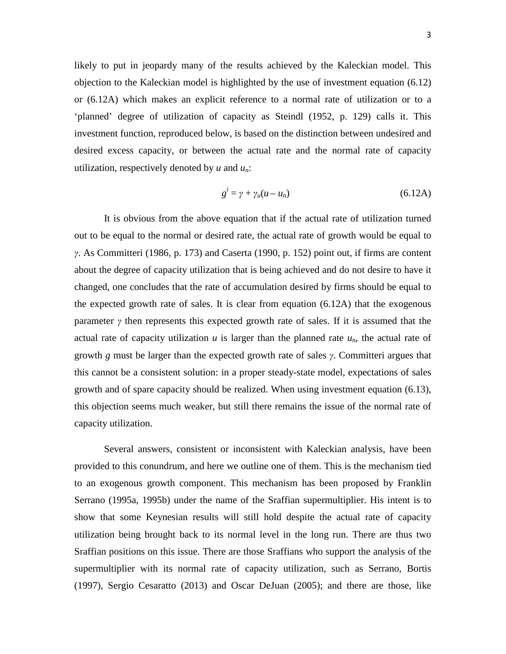likely to put in jeopardy many of the results achieved by the Kaleckian model. This objection to the Kaleckian model is highlighted by the use of investment equation (6.12) or (6.12A) which makes an explicit reference to a normal rate of utilization or to a 'planned' degree of utilization of capacity as Steindl (1952, p. 129) calls it. This investment function, reproduced below, is based on the distinction between undesired and desired excess capacity, or between the actual rate and the normal rate of capacity utilization, respectively denoted by *u* and *un*:

$$
g^{i} = \gamma + \gamma_{u}(u - u_{n}) \tag{6.12A}
$$

It is obvious from the above equation that if the actual rate of utilization turned out to be equal to the normal or desired rate, the actual rate of growth would be equal to *γ*. As Committeri (1986, p. 173) and Caserta (1990, p. 152) point out, if firms are content about the degree of capacity utilization that is being achieved and do not desire to have it changed, one concludes that the rate of accumulation desired by firms should be equal to the expected growth rate of sales. It is clear from equation (6.12A) that the exogenous parameter *γ* then represents this expected growth rate of sales. If it is assumed that the actual rate of capacity utilization  $u$  is larger than the planned rate  $u_n$ , the actual rate of growth *g* must be larger than the expected growth rate of sales *γ*. Committeri argues that this cannot be a consistent solution: in a proper steady-state model, expectations of sales growth and of spare capacity should be realized. When using investment equation (6.13), this objection seems much weaker, but still there remains the issue of the normal rate of capacity utilization.

Several answers, consistent or inconsistent with Kaleckian analysis, have been provided to this conundrum, and here we outline one of them. This is the mechanism tied to an exogenous growth component. This mechanism has been proposed by Franklin Serrano (1995a, 1995b) under the name of the Sraffian supermultiplier. His intent is to show that some Keynesian results will still hold despite the actual rate of capacity utilization being brought back to its normal level in the long run. There are thus two Sraffian positions on this issue. There are those Sraffians who support the analysis of the supermultiplier with its normal rate of capacity utilization, such as Serrano, Bortis (1997), Sergio Cesaratto (2013) and Oscar DeJuan (2005); and there are those, like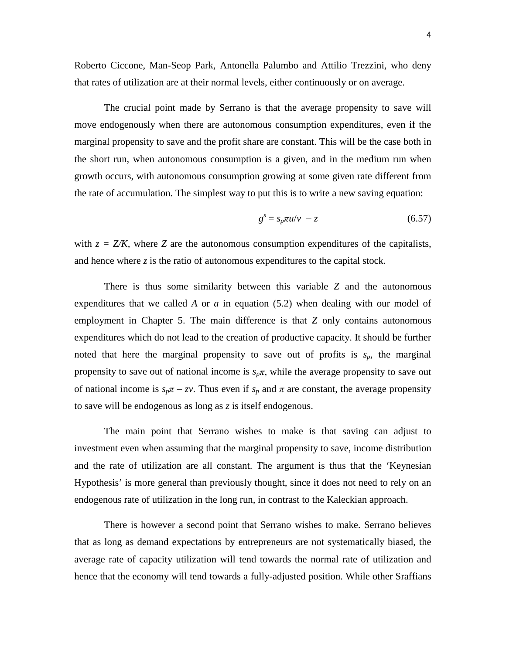Roberto Ciccone, Man-Seop Park, Antonella Palumbo and Attilio Trezzini, who deny that rates of utilization are at their normal levels, either continuously or on average.

The crucial point made by Serrano is that the average propensity to save will move endogenously when there are autonomous consumption expenditures, even if the marginal propensity to save and the profit share are constant. This will be the case both in the short run, when autonomous consumption is a given, and in the medium run when growth occurs, with autonomous consumption growing at some given rate different from the rate of accumulation. The simplest way to put this is to write a new saving equation:

$$
g^s = s_p \pi u/v - z \tag{6.57}
$$

with  $z = Z/K$ , where *Z* are the autonomous consumption expenditures of the capitalists, and hence where *z* is the ratio of autonomous expenditures to the capital stock.

There is thus some similarity between this variable *Z* and the autonomous expenditures that we called *A* or *a* in equation (5.2) when dealing with our model of employment in Chapter 5. The main difference is that *Z* only contains autonomous expenditures which do not lead to the creation of productive capacity. It should be further noted that here the marginal propensity to save out of profits is  $s_p$ , the marginal propensity to save out of national income is  $s_p\pi$ , while the average propensity to save out of national income is  $s_p \pi - zv$ . Thus even if  $s_p$  and  $\pi$  are constant, the average propensity to save will be endogenous as long as *z* is itself endogenous.

The main point that Serrano wishes to make is that saving can adjust to investment even when assuming that the marginal propensity to save, income distribution and the rate of utilization are all constant. The argument is thus that the 'Keynesian Hypothesis' is more general than previously thought, since it does not need to rely on an endogenous rate of utilization in the long run, in contrast to the Kaleckian approach.

There is however a second point that Serrano wishes to make. Serrano believes that as long as demand expectations by entrepreneurs are not systematically biased, the average rate of capacity utilization will tend towards the normal rate of utilization and hence that the economy will tend towards a fully-adjusted position. While other Sraffians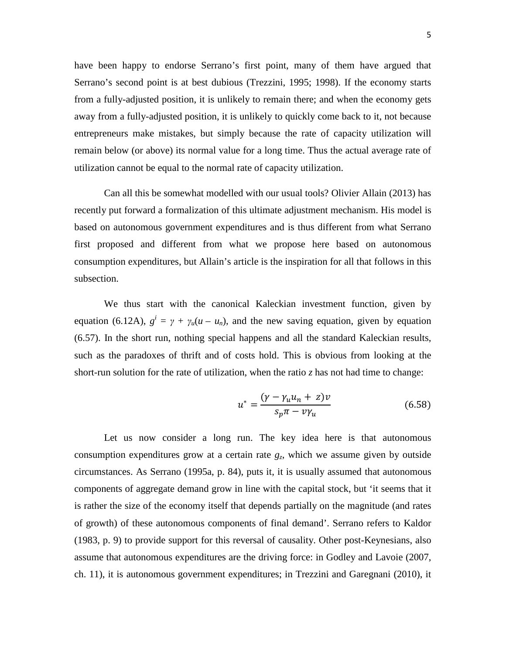have been happy to endorse Serrano's first point, many of them have argued that Serrano's second point is at best dubious (Trezzini, 1995; 1998). If the economy starts from a fully-adjusted position, it is unlikely to remain there; and when the economy gets away from a fully-adjusted position, it is unlikely to quickly come back to it, not because entrepreneurs make mistakes, but simply because the rate of capacity utilization will remain below (or above) its normal value for a long time. Thus the actual average rate of utilization cannot be equal to the normal rate of capacity utilization.

Can all this be somewhat modelled with our usual tools? Olivier Allain (2013) has recently put forward a formalization of this ultimate adjustment mechanism. His model is based on autonomous government expenditures and is thus different from what Serrano first proposed and different from what we propose here based on autonomous consumption expenditures, but Allain's article is the inspiration for all that follows in this subsection.

We thus start with the canonical Kaleckian investment function, given by equation (6.12A),  $g^i = \gamma + \gamma_u(u - u_n)$ , and the new saving equation, given by equation (6.57). In the short run, nothing special happens and all the standard Kaleckian results, such as the paradoxes of thrift and of costs hold. This is obvious from looking at the short-run solution for the rate of utilization, when the ratio *z* has not had time to change:

$$
u^* = \frac{(\gamma - \gamma_u u_n + z)v}{s_p \pi - v\gamma_u} \tag{6.58}
$$

Let us now consider a long run. The key idea here is that autonomous consumption expenditures grow at a certain rate  $g<sub>z</sub>$ , which we assume given by outside circumstances. As Serrano (1995a, p. 84), puts it, it is usually assumed that autonomous components of aggregate demand grow in line with the capital stock, but 'it seems that it is rather the size of the economy itself that depends partially on the magnitude (and rates of growth) of these autonomous components of final demand'. Serrano refers to Kaldor (1983, p. 9) to provide support for this reversal of causality. Other post-Keynesians, also assume that autonomous expenditures are the driving force: in Godley and Lavoie (2007, ch. 11), it is autonomous government expenditures; in Trezzini and Garegnani (2010), it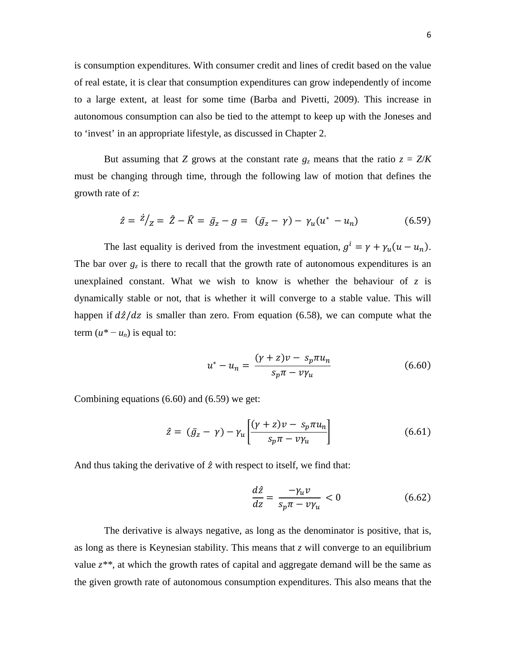is consumption expenditures. With consumer credit and lines of credit based on the value of real estate, it is clear that consumption expenditures can grow independently of income to a large extent, at least for some time (Barba and Pivetti, 2009). This increase in autonomous consumption can also be tied to the attempt to keep up with the Joneses and to 'invest' in an appropriate lifestyle, as discussed in Chapter 2.

But assuming that *Z* grows at the constant rate  $g_z$  means that the ratio  $z = Z/K$ must be changing through time, through the following law of motion that defines the growth rate of *z*:

$$
\hat{z} = \frac{\dot{z}}{z} = \hat{Z} - \hat{K} = \bar{g}_z - g = (\bar{g}_z - \gamma) - \gamma_u (u^* - u_n) \tag{6.59}
$$

The last equality is derived from the investment equation,  $g^{i} = \gamma + \gamma_{u} (u - u_{n}).$ The bar over  $g<sub>z</sub>$  is there to recall that the growth rate of autonomous expenditures is an unexplained constant. What we wish to know is whether the behaviour of  $z$  is dynamically stable or not, that is whether it will converge to a stable value. This will happen if  $d\hat{z}/dz$  is smaller than zero. From equation (6.58), we can compute what the term  $(u^* - u_n)$  is equal to:

$$
u^* - u_n = \frac{(\gamma + z)v - s_p \pi u_n}{s_p \pi - v \gamma_u}
$$
 (6.60)

Combining equations (6.60) and (6.59) we get:

$$
\hat{z} = (\bar{g}_z - \gamma) - \gamma_u \left[ \frac{(\gamma + z)v - s_p \pi u_n}{s_p \pi - v \gamma_u} \right]
$$
(6.61)

And thus taking the derivative of  $\hat{z}$  with respect to itself, we find that:

$$
\frac{d\hat{z}}{dz} = \frac{-\gamma_u v}{s_p \pi - v \gamma_u} < 0 \tag{6.62}
$$

The derivative is always negative, as long as the denominator is positive, that is, as long as there is Keynesian stability. This means that *z* will converge to an equilibrium value *z\*\**, at which the growth rates of capital and aggregate demand will be the same as the given growth rate of autonomous consumption expenditures. This also means that the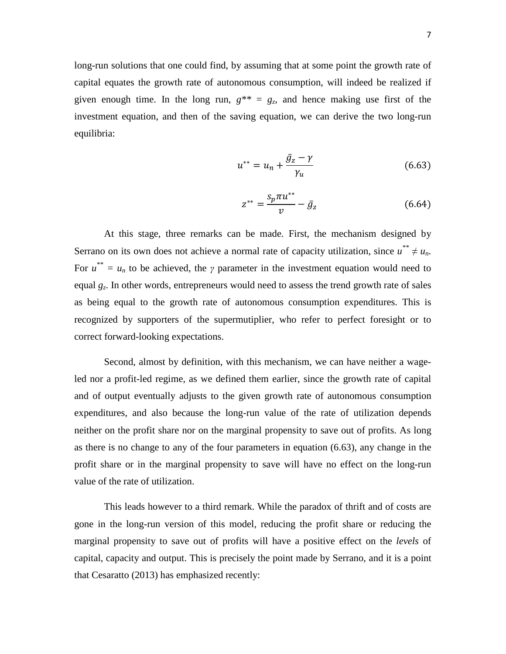long-run solutions that one could find, by assuming that at some point the growth rate of capital equates the growth rate of autonomous consumption, will indeed be realized if given enough time. In the long run,  $g^{**} = g_z$ , and hence making use first of the investment equation, and then of the saving equation, we can derive the two long-run equilibria:

$$
u^{**} = u_n + \frac{\bar{g}_z - \gamma}{\gamma_u} \tag{6.63}
$$

$$
z^{**} = \frac{s_p \pi u^{**}}{v} - \bar{g}_z \tag{6.64}
$$

At this stage, three remarks can be made. First, the mechanism designed by Serrano on its own does not achieve a normal rate of capacity utilization, since  $u^{**} \neq u_n$ . For  $u^{**} = u_n$  to be achieved, the *γ* parameter in the investment equation would need to equal *gz*. In other words, entrepreneurs would need to assess the trend growth rate of sales as being equal to the growth rate of autonomous consumption expenditures. This is recognized by supporters of the supermutiplier, who refer to perfect foresight or to correct forward-looking expectations.

Second, almost by definition, with this mechanism, we can have neither a wageled nor a profit-led regime, as we defined them earlier, since the growth rate of capital and of output eventually adjusts to the given growth rate of autonomous consumption expenditures, and also because the long-run value of the rate of utilization depends neither on the profit share nor on the marginal propensity to save out of profits. As long as there is no change to any of the four parameters in equation (6.63), any change in the profit share or in the marginal propensity to save will have no effect on the long-run value of the rate of utilization.

This leads however to a third remark. While the paradox of thrift and of costs are gone in the long-run version of this model, reducing the profit share or reducing the marginal propensity to save out of profits will have a positive effect on the *levels* of capital, capacity and output. This is precisely the point made by Serrano, and it is a point that Cesaratto (2013) has emphasized recently: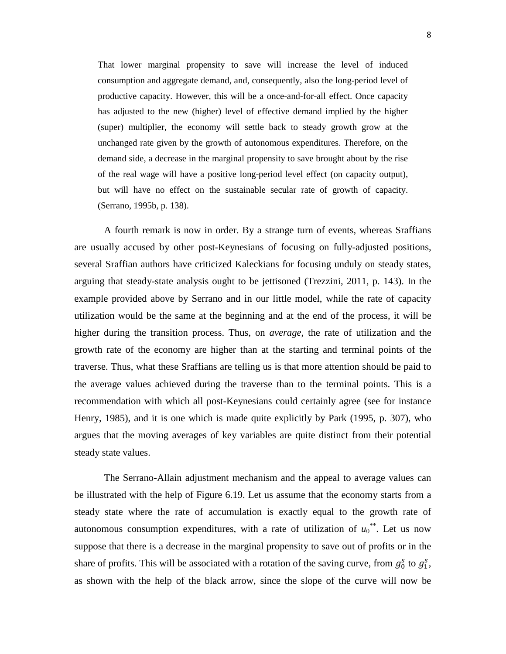That lower marginal propensity to save will increase the level of induced consumption and aggregate demand, and, consequently, also the long-period level of productive capacity. However, this will be a once-and-for-all effect. Once capacity has adjusted to the new (higher) level of effective demand implied by the higher (super) multiplier, the economy will settle back to steady growth grow at the unchanged rate given by the growth of autonomous expenditures. Therefore, on the demand side, a decrease in the marginal propensity to save brought about by the rise of the real wage will have a positive long-period level effect (on capacity output), but will have no effect on the sustainable secular rate of growth of capacity. (Serrano, 1995b, p. 138).

A fourth remark is now in order. By a strange turn of events, whereas Sraffians are usually accused by other post-Keynesians of focusing on fully-adjusted positions, several Sraffian authors have criticized Kaleckians for focusing unduly on steady states, arguing that steady-state analysis ought to be jettisoned (Trezzini, 2011, p. 143). In the example provided above by Serrano and in our little model, while the rate of capacity utilization would be the same at the beginning and at the end of the process, it will be higher during the transition process. Thus, on *average*, the rate of utilization and the growth rate of the economy are higher than at the starting and terminal points of the traverse. Thus, what these Sraffians are telling us is that more attention should be paid to the average values achieved during the traverse than to the terminal points. This is a recommendation with which all post-Keynesians could certainly agree (see for instance Henry, 1985), and it is one which is made quite explicitly by Park (1995, p. 307), who argues that the moving averages of key variables are quite distinct from their potential steady state values.

The Serrano-Allain adjustment mechanism and the appeal to average values can be illustrated with the help of Figure 6.19. Let us assume that the economy starts from a steady state where the rate of accumulation is exactly equal to the growth rate of autonomous consumption expenditures, with a rate of utilization of  $u_0^*$ . Let us now suppose that there is a decrease in the marginal propensity to save out of profits or in the share of profits. This will be associated with a rotation of the saving curve, from  $g_0^s$  to  $g_1^s$ , as shown with the help of the black arrow, since the slope of the curve will now be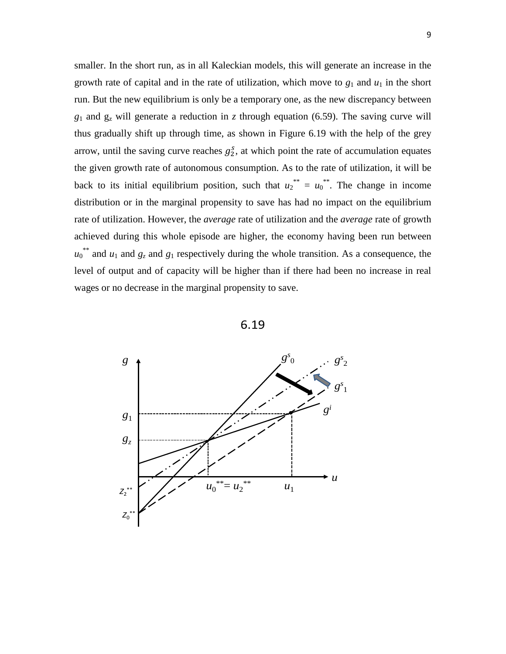smaller. In the short run, as in all Kaleckian models, this will generate an increase in the growth rate of capital and in the rate of utilization, which move to  $g_1$  and  $u_1$  in the short run. But the new equilibrium is only be a temporary one, as the new discrepancy between  $g_1$  and  $g_z$  will generate a reduction in *z* through equation (6.59). The saving curve will thus gradually shift up through time, as shown in Figure 6.19 with the help of the grey arrow, until the saving curve reaches  $g_2^s$ , at which point the rate of accumulation equates the given growth rate of autonomous consumption. As to the rate of utilization, it will be back to its initial equilibrium position, such that  $u_2^{**} = u_0^{**}$ . The change in income distribution or in the marginal propensity to save has had no impact on the equilibrium rate of utilization. However, the *average* rate of utilization and the *average* rate of growth achieved during this whole episode are higher, the economy having been run between  $u_0$ <sup>\*\*</sup> and  $u_1$  and  $g_2$  and  $g_1$  respectively during the whole transition. As a consequence, the level of output and of capacity will be higher than if there had been no increase in real wages or no decrease in the marginal propensity to save.



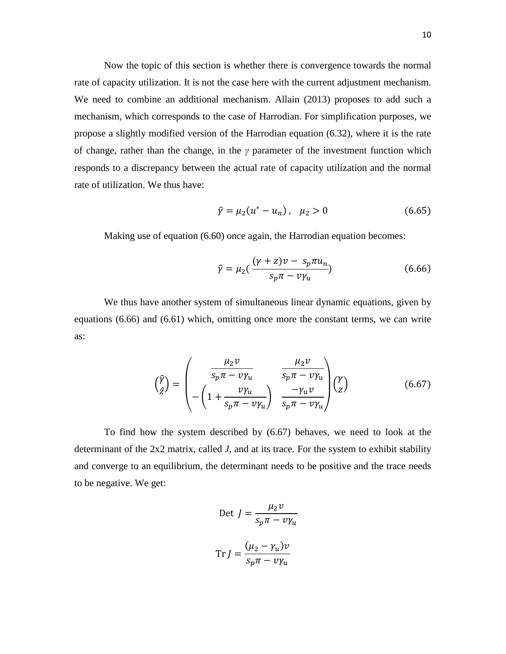Now the topic of this section is whether there is convergence towards the normal rate of capacity utilization. It is not the case here with the current adjustment mechanism. We need to combine an additional mechanism. Allain (2013) proposes to add such a mechanism, which corresponds to the case of Harrodian. For simplification purposes, we propose a slightly modified version of the Harrodian equation (6.32), where it is the rate of change, rather than the change, in the *γ* parameter of the investment function which responds to a discrepancy between the actual rate of capacity utilization and the normal rate of utilization. We thus have:

$$
\hat{\gamma} = \mu_2 (u^* - u_n), \quad \mu_2 > 0 \tag{6.65}
$$

Making use of equation (6.60) once again, the Harrodian equation becomes:

$$
\hat{\gamma} = \mu_2 \left( \frac{(\gamma + z)v - s_p \pi u_n}{s_p \pi - v \gamma_u} \right) \tag{6.66}
$$

We thus have another system of simultaneous linear dynamic equations, given by equations (6.66) and (6.61) which, omitting once more the constant terms, we can write as:

$$
\begin{pmatrix} \hat{y} \\ \hat{z} \end{pmatrix} = \begin{pmatrix} \frac{\mu_2 v}{s_p \pi - v \gamma_u} & \frac{\mu_2 v}{s_p \pi - v \gamma_u} \\ -\left(1 + \frac{v \gamma_u}{s_p \pi - v \gamma_u}\right) & \frac{-\gamma_u v}{s_p \pi - v \gamma_u} \end{pmatrix} \begin{pmatrix} \gamma \\ z \end{pmatrix}
$$
(6.67)

To find how the system described by (6.67) behaves, we need to look at the determinant of the 2x2 matrix, called *J*, and at its trace. For the system to exhibit stability and converge to an equilibrium, the determinant needs to be positive and the trace needs to be negative. We get:

$$
\text{Det } J = \frac{\mu_2 v}{s_p \pi - v \gamma_u}
$$
\n
$$
\text{Tr } J = \frac{(\mu_2 - \gamma_u)v}{s_p \pi - v \gamma_u}
$$